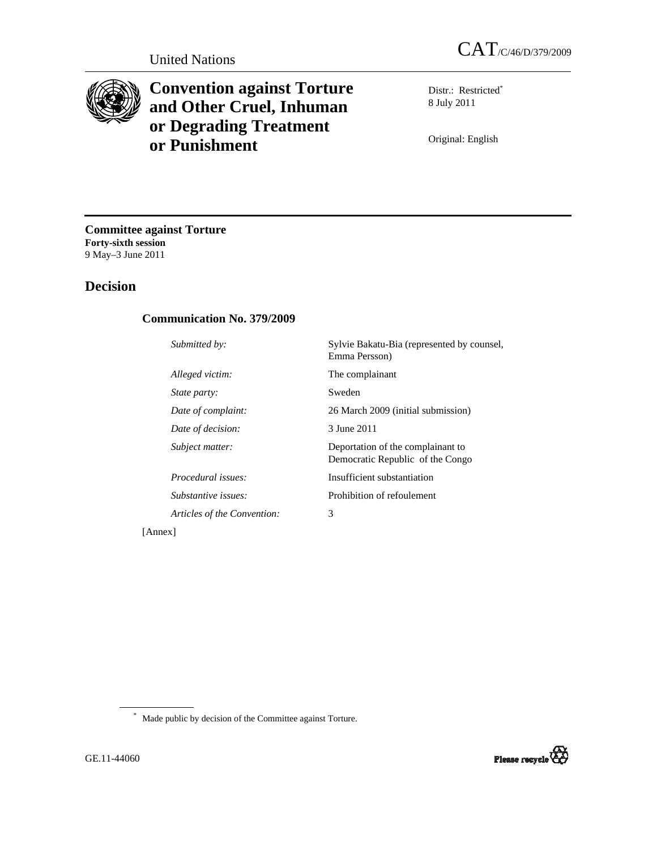

# **Convention against Torture and Other Cruel, Inhuman or Degrading Treatment or Punishment**

Distr.: Restricted\* 8 July 2011

Original: English

**Committee against Torture Forty-sixth session**  9 May–3 June 2011

# **Decision**

### **Communication No. 379/2009**

| Submitted by:               | Sylvie Bakatu-Bia (represented by counsel,<br>Emma Persson)           |
|-----------------------------|-----------------------------------------------------------------------|
| Alleged victim:             | The complainant                                                       |
| <i>State party:</i>         | Sweden                                                                |
| Date of complaint:          | 26 March 2009 (initial submission)                                    |
| Date of decision:           | 3 June 2011                                                           |
| Subject matter:             | Deportation of the complainant to<br>Democratic Republic of the Congo |
| <i>Procedural issues:</i>   | Insufficient substantiation                                           |
| Substantive issues:         | Prohibition of refoulement                                            |
| Articles of the Convention: | 3                                                                     |
|                             |                                                                       |

[Annex]

\* Made public by decision of the Committee against Torture.

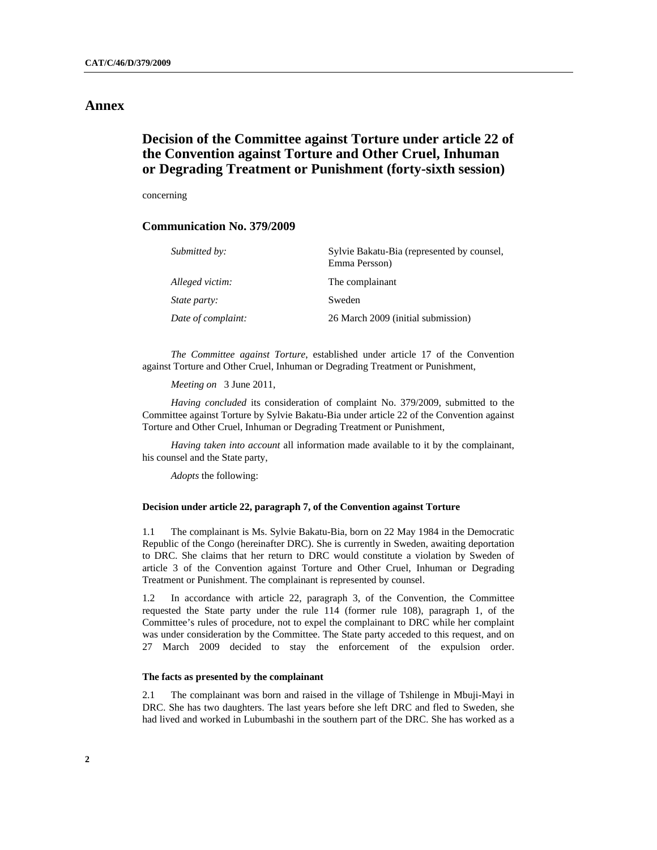### **Annex**

## **Decision of the Committee against Torture under article 22 of the Convention against Torture and Other Cruel, Inhuman or Degrading Treatment or Punishment (forty-sixth session)**

concerning

#### **Communication No. 379/2009**

| Submitted by:       | Sylvie Bakatu-Bia (represented by counsel,<br>Emma Persson) |
|---------------------|-------------------------------------------------------------|
| Alleged victim:     | The complainant                                             |
| <i>State party:</i> | Sweden                                                      |
| Date of complaint:  | 26 March 2009 (initial submission)                          |

*The Committee against Torture*, established under article 17 of the Convention against Torture and Other Cruel, Inhuman or Degrading Treatment or Punishment,

*Meeting on* 3 June 2011,

*Having concluded* its consideration of complaint No. 379/2009, submitted to the Committee against Torture by Sylvie Bakatu-Bia under article 22 of the Convention against Torture and Other Cruel, Inhuman or Degrading Treatment or Punishment,

*Having taken into account* all information made available to it by the complainant, his counsel and the State party,

*Adopts* the following:

#### **Decision under article 22, paragraph 7, of the Convention against Torture**

1.1 The complainant is Ms. Sylvie Bakatu-Bia, born on 22 May 1984 in the Democratic Republic of the Congo (hereinafter DRC). She is currently in Sweden, awaiting deportation to DRC. She claims that her return to DRC would constitute a violation by Sweden of article 3 of the Convention against Torture and Other Cruel, Inhuman or Degrading Treatment or Punishment. The complainant is represented by counsel.

1.2 In accordance with article 22, paragraph 3, of the Convention, the Committee requested the State party under the rule 114 (former rule 108), paragraph 1, of the Committee's rules of procedure, not to expel the complainant to DRC while her complaint was under consideration by the Committee. The State party acceded to this request, and on 27 March 2009 decided to stay the enforcement of the expulsion order.

#### **The facts as presented by the complainant**

2.1 The complainant was born and raised in the village of Tshilenge in Mbuji-Mayi in DRC. She has two daughters. The last years before she left DRC and fled to Sweden, she had lived and worked in Lubumbashi in the southern part of the DRC. She has worked as a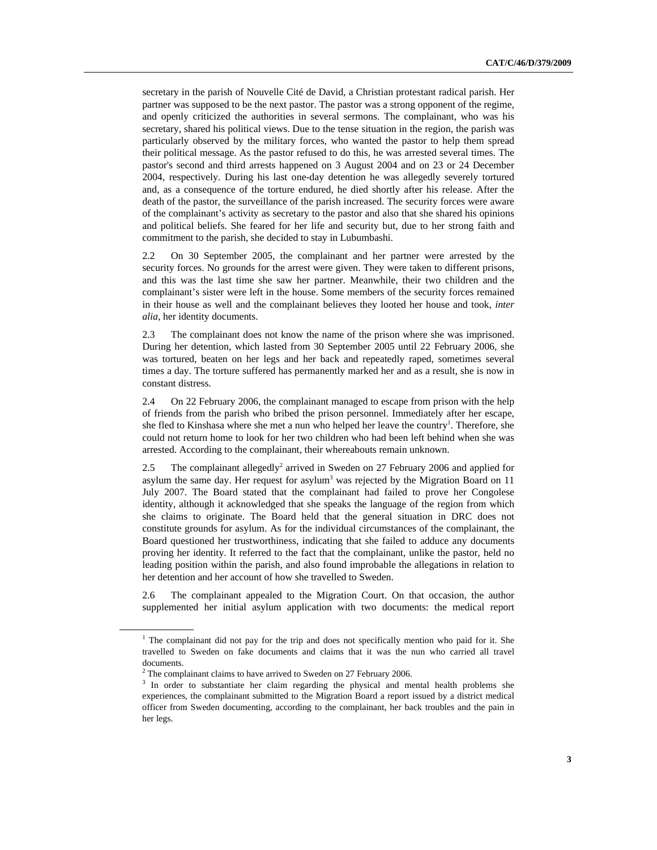secretary in the parish of Nouvelle Cité de David, a Christian protestant radical parish. Her partner was supposed to be the next pastor. The pastor was a strong opponent of the regime, and openly criticized the authorities in several sermons. The complainant, who was his secretary, shared his political views. Due to the tense situation in the region, the parish was particularly observed by the military forces, who wanted the pastor to help them spread their political message. As the pastor refused to do this, he was arrested several times. The pastor's second and third arrests happened on 3 August 2004 and on 23 or 24 December 2004, respectively. During his last one-day detention he was allegedly severely tortured and, as a consequence of the torture endured, he died shortly after his release. After the death of the pastor, the surveillance of the parish increased. The security forces were aware of the complainant's activity as secretary to the pastor and also that she shared his opinions and political beliefs. She feared for her life and security but, due to her strong faith and commitment to the parish, she decided to stay in Lubumbashi.

2.2 On 30 September 2005, the complainant and her partner were arrested by the security forces. No grounds for the arrest were given. They were taken to different prisons, and this was the last time she saw her partner. Meanwhile, their two children and the complainant's sister were left in the house. Some members of the security forces remained in their house as well and the complainant believes they looted her house and took, *inter alia*, her identity documents.

2.3 The complainant does not know the name of the prison where she was imprisoned. During her detention, which lasted from 30 September 2005 until 22 February 2006, she was tortured, beaten on her legs and her back and repeatedly raped, sometimes several times a day. The torture suffered has permanently marked her and as a result, she is now in constant distress.

2.4 On 22 February 2006, the complainant managed to escape from prison with the help of friends from the parish who bribed the prison personnel. Immediately after her escape, she fled to Kinshasa where she met a nun who helped her leave the country<sup>1</sup>. Therefore, she could not return home to look for her two children who had been left behind when she was arrested. According to the complainant, their whereabouts remain unknown.

2.5 The complainant allegedly<sup>2</sup> arrived in Sweden on 27 February 2006 and applied for asylum the same day. Her request for asylum<sup>3</sup> was rejected by the Migration Board on  $11$ July 2007. The Board stated that the complainant had failed to prove her Congolese identity, although it acknowledged that she speaks the language of the region from which she claims to originate. The Board held that the general situation in DRC does not constitute grounds for asylum. As for the individual circumstances of the complainant, the Board questioned her trustworthiness, indicating that she failed to adduce any documents proving her identity. It referred to the fact that the complainant, unlike the pastor, held no leading position within the parish, and also found improbable the allegations in relation to her detention and her account of how she travelled to Sweden.

2.6 The complainant appealed to the Migration Court. On that occasion, the author supplemented her initial asylum application with two documents: the medical report

<sup>1</sup>  $1$  The complainant did not pay for the trip and does not specifically mention who paid for it. She travelled to Sweden on fake documents and claims that it was the nun who carried all travel documents.

<sup>2</sup>  $2$ <sup>2</sup> The complainant claims to have arrived to Sweden on 27 February 2006.

<sup>3</sup>  $3$  In order to substantiate her claim regarding the physical and mental health problems she experiences, the complainant submitted to the Migration Board a report issued by a district medical officer from Sweden documenting, according to the complainant, her back troubles and the pain in her legs.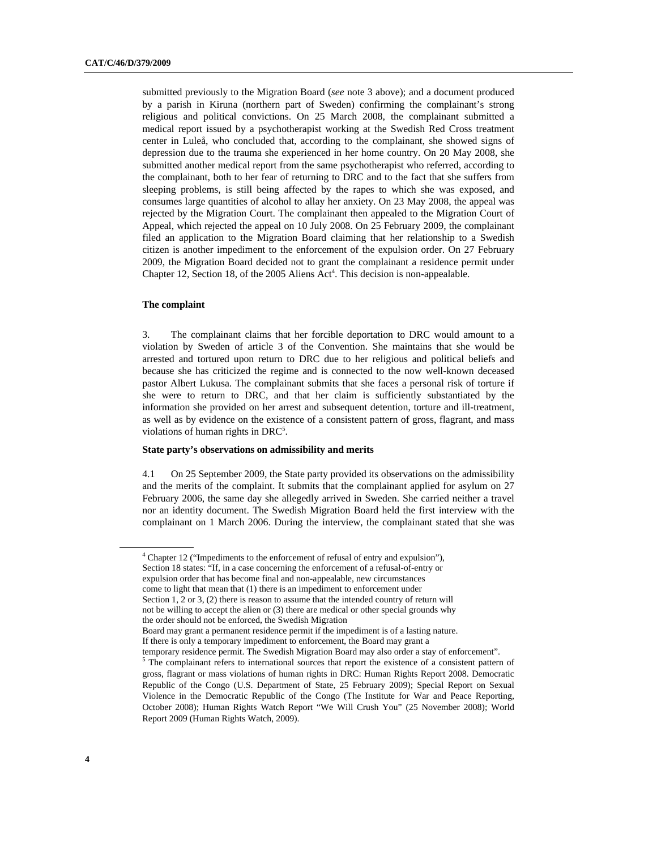submitted previously to the Migration Board (*see* note 3 above); and a document produced by a parish in Kiruna (northern part of Sweden) confirming the complainant's strong religious and political convictions. On 25 March 2008, the complainant submitted a medical report issued by a psychotherapist working at the Swedish Red Cross treatment center in Luleå, who concluded that, according to the complainant, she showed signs of depression due to the trauma she experienced in her home country. On 20 May 2008, she submitted another medical report from the same psychotherapist who referred, according to the complainant, both to her fear of returning to DRC and to the fact that she suffers from sleeping problems, is still being affected by the rapes to which she was exposed, and consumes large quantities of alcohol to allay her anxiety. On 23 May 2008, the appeal was rejected by the Migration Court. The complainant then appealed to the Migration Court of Appeal, which rejected the appeal on 10 July 2008. On 25 February 2009, the complainant filed an application to the Migration Board claiming that her relationship to a Swedish citizen is another impediment to the enforcement of the expulsion order. On 27 February 2009, the Migration Board decided not to grant the complainant a residence permit under Chapter 12, Section 18, of the 2005 Aliens Act<sup>4</sup>. This decision is non-appealable.

#### **The complaint**

3. The complainant claims that her forcible deportation to DRC would amount to a violation by Sweden of article 3 of the Convention. She maintains that she would be arrested and tortured upon return to DRC due to her religious and political beliefs and because she has criticized the regime and is connected to the now well-known deceased pastor Albert Lukusa. The complainant submits that she faces a personal risk of torture if she were to return to DRC, and that her claim is sufficiently substantiated by the information she provided on her arrest and subsequent detention, torture and ill-treatment, as well as by evidence on the existence of a consistent pattern of gross, flagrant, and mass violations of human rights in DRC<sup>5</sup>.

#### **State party's observations on admissibility and merits**

4.1 On 25 September 2009, the State party provided its observations on the admissibility and the merits of the complaint. It submits that the complainant applied for asylum on 27 February 2006, the same day she allegedly arrived in Sweden. She carried neither a travel nor an identity document. The Swedish Migration Board held the first interview with the complainant on 1 March 2006. During the interview, the complainant stated that she was

<sup>&</sup>lt;sup>4</sup> Chapter 12 ("Impediments to the enforcement of refusal of entry and expulsion"), Section 18 states: "If, in a case concerning the enforcement of a refusal-of-entry or expulsion order that has become final and non-appealable, new circumstances come to light that mean that (1) there is an impediment to enforcement under Section 1, 2 or 3, (2) there is reason to assume that the intended country of return will not be willing to accept the alien or (3) there are medical or other special grounds why the order should not be enforced, the Swedish Migration Board may grant a permanent residence permit if the impediment is of a lasting nature.

If there is only a temporary impediment to enforcement, the Board may grant a

temporary residence permit. The Swedish Migration Board may also order a stay of enforcement".

<sup>5</sup>  $5$  The complainant refers to international sources that report the existence of a consistent pattern of gross, flagrant or mass violations of human rights in DRC: Human Rights Report 2008. Democratic Republic of the Congo (U.S. Department of State, 25 February 2009); Special Report on Sexual Violence in the Democratic Republic of the Congo (The Institute for War and Peace Reporting, October 2008); Human Rights Watch Report "We Will Crush You" (25 November 2008); World Report 2009 (Human Rights Watch, 2009).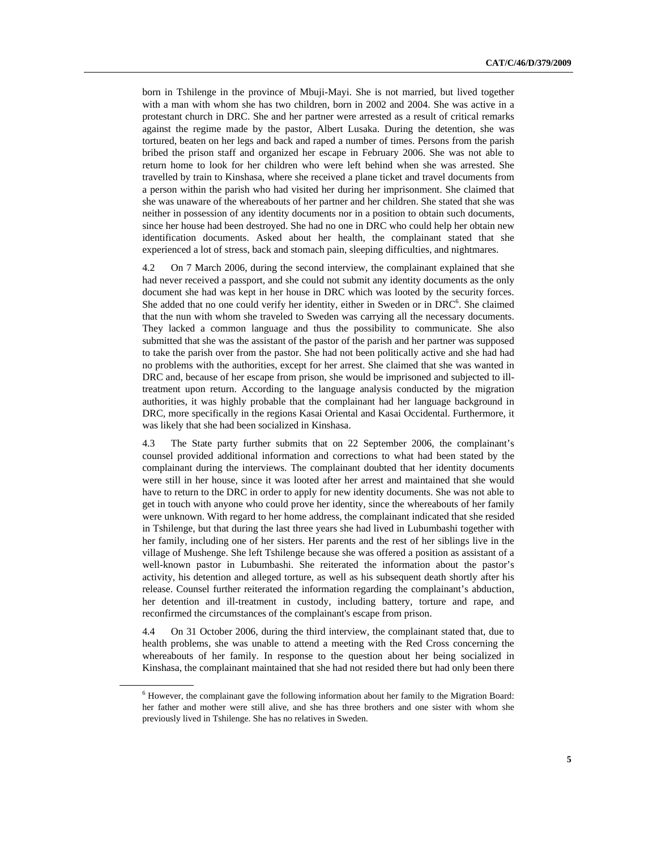born in Tshilenge in the province of Mbuji-Mayi. She is not married, but lived together with a man with whom she has two children, born in 2002 and 2004. She was active in a protestant church in DRC. She and her partner were arrested as a result of critical remarks against the regime made by the pastor, Albert Lusaka. During the detention, she was tortured, beaten on her legs and back and raped a number of times. Persons from the parish bribed the prison staff and organized her escape in February 2006. She was not able to return home to look for her children who were left behind when she was arrested. She travelled by train to Kinshasa, where she received a plane ticket and travel documents from a person within the parish who had visited her during her imprisonment. She claimed that she was unaware of the whereabouts of her partner and her children. She stated that she was neither in possession of any identity documents nor in a position to obtain such documents, since her house had been destroyed. She had no one in DRC who could help her obtain new identification documents. Asked about her health, the complainant stated that she experienced a lot of stress, back and stomach pain, sleeping difficulties, and nightmares.

4.2 On 7 March 2006, during the second interview, the complainant explained that she had never received a passport, and she could not submit any identity documents as the only document she had was kept in her house in DRC which was looted by the security forces. She added that no one could verify her identity, either in Sweden or in DRC<sup>6</sup>. She claimed that the nun with whom she traveled to Sweden was carrying all the necessary documents. They lacked a common language and thus the possibility to communicate. She also submitted that she was the assistant of the pastor of the parish and her partner was supposed to take the parish over from the pastor. She had not been politically active and she had had no problems with the authorities, except for her arrest. She claimed that she was wanted in DRC and, because of her escape from prison, she would be imprisoned and subjected to illtreatment upon return. According to the language analysis conducted by the migration authorities, it was highly probable that the complainant had her language background in DRC, more specifically in the regions Kasai Oriental and Kasai Occidental. Furthermore, it was likely that she had been socialized in Kinshasa.

4.3 The State party further submits that on 22 September 2006, the complainant's counsel provided additional information and corrections to what had been stated by the complainant during the interviews. The complainant doubted that her identity documents were still in her house, since it was looted after her arrest and maintained that she would have to return to the DRC in order to apply for new identity documents. She was not able to get in touch with anyone who could prove her identity, since the whereabouts of her family were unknown. With regard to her home address, the complainant indicated that she resided in Tshilenge, but that during the last three years she had lived in Lubumbashi together with her family, including one of her sisters. Her parents and the rest of her siblings live in the village of Mushenge. She left Tshilenge because she was offered a position as assistant of a well-known pastor in Lubumbashi. She reiterated the information about the pastor's activity, his detention and alleged torture, as well as his subsequent death shortly after his release. Counsel further reiterated the information regarding the complainant's abduction, her detention and ill-treatment in custody, including battery, torture and rape, and reconfirmed the circumstances of the complainant's escape from prison.

4.4 On 31 October 2006, during the third interview, the complainant stated that, due to health problems, she was unable to attend a meeting with the Red Cross concerning the whereabouts of her family. In response to the question about her being socialized in Kinshasa, the complainant maintained that she had not resided there but had only been there

<sup>6</sup>  $6$  However, the complainant gave the following information about her family to the Migration Board: her father and mother were still alive, and she has three brothers and one sister with whom she previously lived in Tshilenge. She has no relatives in Sweden.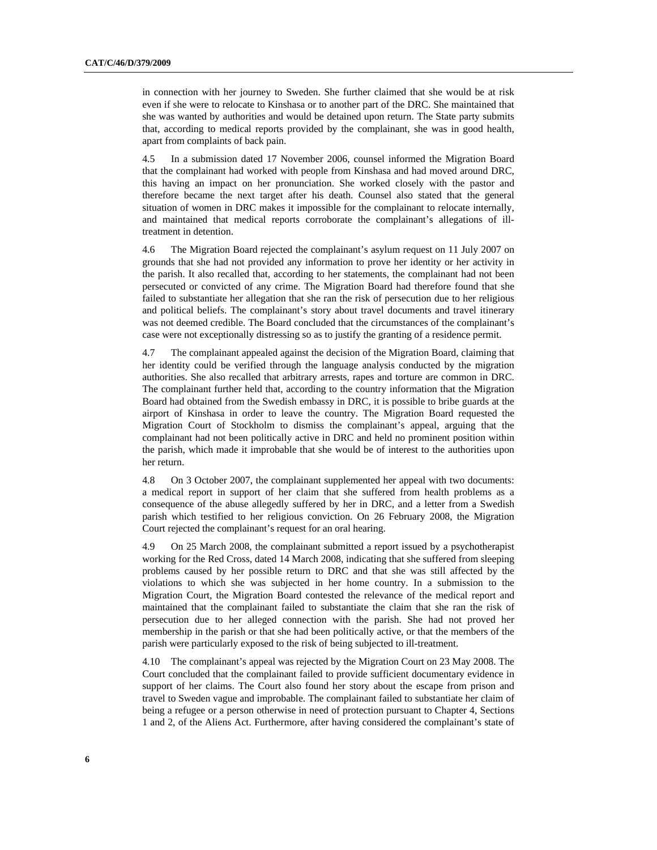in connection with her journey to Sweden. She further claimed that she would be at risk even if she were to relocate to Kinshasa or to another part of the DRC. She maintained that she was wanted by authorities and would be detained upon return. The State party submits that, according to medical reports provided by the complainant, she was in good health, apart from complaints of back pain.

4.5 In a submission dated 17 November 2006, counsel informed the Migration Board that the complainant had worked with people from Kinshasa and had moved around DRC, this having an impact on her pronunciation. She worked closely with the pastor and therefore became the next target after his death. Counsel also stated that the general situation of women in DRC makes it impossible for the complainant to relocate internally, and maintained that medical reports corroborate the complainant's allegations of illtreatment in detention.

4.6 The Migration Board rejected the complainant's asylum request on 11 July 2007 on grounds that she had not provided any information to prove her identity or her activity in the parish. It also recalled that, according to her statements, the complainant had not been persecuted or convicted of any crime. The Migration Board had therefore found that she failed to substantiate her allegation that she ran the risk of persecution due to her religious and political beliefs. The complainant's story about travel documents and travel itinerary was not deemed credible. The Board concluded that the circumstances of the complainant's case were not exceptionally distressing so as to justify the granting of a residence permit.

4.7 The complainant appealed against the decision of the Migration Board, claiming that her identity could be verified through the language analysis conducted by the migration authorities. She also recalled that arbitrary arrests, rapes and torture are common in DRC. The complainant further held that, according to the country information that the Migration Board had obtained from the Swedish embassy in DRC, it is possible to bribe guards at the airport of Kinshasa in order to leave the country. The Migration Board requested the Migration Court of Stockholm to dismiss the complainant's appeal, arguing that the complainant had not been politically active in DRC and held no prominent position within the parish, which made it improbable that she would be of interest to the authorities upon her return.

4.8 On 3 October 2007, the complainant supplemented her appeal with two documents: a medical report in support of her claim that she suffered from health problems as a consequence of the abuse allegedly suffered by her in DRC, and a letter from a Swedish parish which testified to her religious conviction. On 26 February 2008, the Migration Court rejected the complainant's request for an oral hearing.

4.9 On 25 March 2008, the complainant submitted a report issued by a psychotherapist working for the Red Cross, dated 14 March 2008, indicating that she suffered from sleeping problems caused by her possible return to DRC and that she was still affected by the violations to which she was subjected in her home country. In a submission to the Migration Court, the Migration Board contested the relevance of the medical report and maintained that the complainant failed to substantiate the claim that she ran the risk of persecution due to her alleged connection with the parish. She had not proved her membership in the parish or that she had been politically active, or that the members of the parish were particularly exposed to the risk of being subjected to ill-treatment.

4.10 The complainant's appeal was rejected by the Migration Court on 23 May 2008. The Court concluded that the complainant failed to provide sufficient documentary evidence in support of her claims. The Court also found her story about the escape from prison and travel to Sweden vague and improbable. The complainant failed to substantiate her claim of being a refugee or a person otherwise in need of protection pursuant to Chapter 4, Sections 1 and 2, of the Aliens Act. Furthermore, after having considered the complainant's state of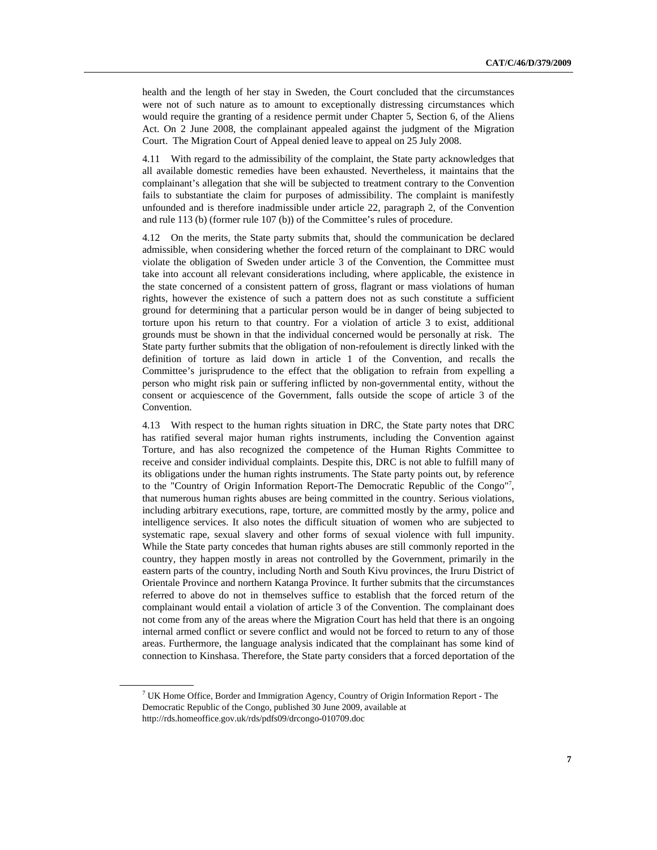health and the length of her stay in Sweden, the Court concluded that the circumstances were not of such nature as to amount to exceptionally distressing circumstances which would require the granting of a residence permit under Chapter 5, Section 6, of the Aliens Act. On 2 June 2008, the complainant appealed against the judgment of the Migration Court. The Migration Court of Appeal denied leave to appeal on 25 July 2008.

4.11 With regard to the admissibility of the complaint, the State party acknowledges that all available domestic remedies have been exhausted. Nevertheless, it maintains that the complainant's allegation that she will be subjected to treatment contrary to the Convention fails to substantiate the claim for purposes of admissibility. The complaint is manifestly unfounded and is therefore inadmissible under article 22, paragraph 2, of the Convention and rule 113 (b) (former rule 107 (b)) of the Committee's rules of procedure.

4.12 On the merits, the State party submits that, should the communication be declared admissible, when considering whether the forced return of the complainant to DRC would violate the obligation of Sweden under article 3 of the Convention, the Committee must take into account all relevant considerations including, where applicable, the existence in the state concerned of a consistent pattern of gross, flagrant or mass violations of human rights, however the existence of such a pattern does not as such constitute a sufficient ground for determining that a particular person would be in danger of being subjected to torture upon his return to that country. For a violation of article 3 to exist, additional grounds must be shown in that the individual concerned would be personally at risk. The State party further submits that the obligation of non-refoulement is directly linked with the definition of torture as laid down in article 1 of the Convention, and recalls the Committee's jurisprudence to the effect that the obligation to refrain from expelling a person who might risk pain or suffering inflicted by non-governmental entity, without the consent or acquiescence of the Government, falls outside the scope of article 3 of the Convention.

4.13 With respect to the human rights situation in DRC, the State party notes that DRC has ratified several major human rights instruments, including the Convention against Torture, and has also recognized the competence of the Human Rights Committee to receive and consider individual complaints. Despite this, DRC is not able to fulfill many of its obligations under the human rights instruments. The State party points out, by reference to the "Country of Origin Information Report-The Democratic Republic of the Congo"7 , that numerous human rights abuses are being committed in the country. Serious violations, including arbitrary executions, rape, torture, are committed mostly by the army, police and intelligence services. It also notes the difficult situation of women who are subjected to systematic rape, sexual slavery and other forms of sexual violence with full impunity. While the State party concedes that human rights abuses are still commonly reported in the country, they happen mostly in areas not controlled by the Government, primarily in the eastern parts of the country, including North and South Kivu provinces, the Iruru District of Orientale Province and northern Katanga Province. It further submits that the circumstances referred to above do not in themselves suffice to establish that the forced return of the complainant would entail a violation of article 3 of the Convention. The complainant does not come from any of the areas where the Migration Court has held that there is an ongoing internal armed conflict or severe conflict and would not be forced to return to any of those areas. Furthermore, the language analysis indicated that the complainant has some kind of connection to Kinshasa. Therefore, the State party considers that a forced deportation of the

<sup>7</sup>  $17$  UK Home Office, Border and Immigration Agency, Country of Origin Information Report - The Democratic Republic of the Congo*,* published 30 June 2009, available at http://rds.homeoffice.gov.uk/rds/pdfs09/drcongo-010709.doc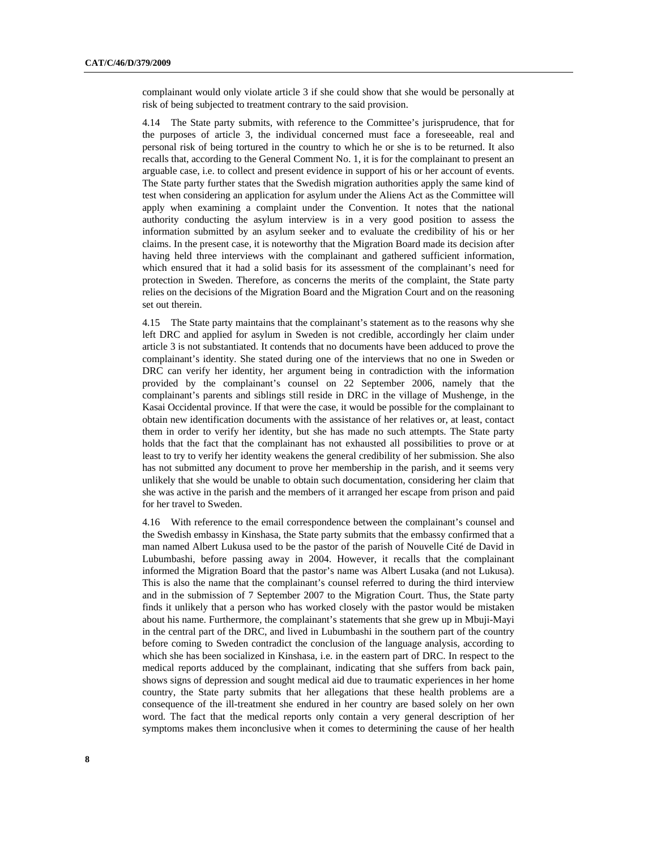complainant would only violate article 3 if she could show that she would be personally at risk of being subjected to treatment contrary to the said provision.

4.14 The State party submits, with reference to the Committee's jurisprudence, that for the purposes of article 3, the individual concerned must face a foreseeable, real and personal risk of being tortured in the country to which he or she is to be returned. It also recalls that, according to the General Comment No. 1, it is for the complainant to present an arguable case, i.e. to collect and present evidence in support of his or her account of events. The State party further states that the Swedish migration authorities apply the same kind of test when considering an application for asylum under the Aliens Act as the Committee will apply when examining a complaint under the Convention. It notes that the national authority conducting the asylum interview is in a very good position to assess the information submitted by an asylum seeker and to evaluate the credibility of his or her claims. In the present case, it is noteworthy that the Migration Board made its decision after having held three interviews with the complainant and gathered sufficient information, which ensured that it had a solid basis for its assessment of the complainant's need for protection in Sweden. Therefore, as concerns the merits of the complaint, the State party relies on the decisions of the Migration Board and the Migration Court and on the reasoning set out therein.

4.15 The State party maintains that the complainant's statement as to the reasons why she left DRC and applied for asylum in Sweden is not credible, accordingly her claim under article 3 is not substantiated. It contends that no documents have been adduced to prove the complainant's identity. She stated during one of the interviews that no one in Sweden or DRC can verify her identity, her argument being in contradiction with the information provided by the complainant's counsel on 22 September 2006, namely that the complainant's parents and siblings still reside in DRC in the village of Mushenge, in the Kasai Occidental province. If that were the case, it would be possible for the complainant to obtain new identification documents with the assistance of her relatives or, at least, contact them in order to verify her identity, but she has made no such attempts. The State party holds that the fact that the complainant has not exhausted all possibilities to prove or at least to try to verify her identity weakens the general credibility of her submission. She also has not submitted any document to prove her membership in the parish, and it seems very unlikely that she would be unable to obtain such documentation, considering her claim that she was active in the parish and the members of it arranged her escape from prison and paid for her travel to Sweden.

4.16 With reference to the email correspondence between the complainant's counsel and the Swedish embassy in Kinshasa, the State party submits that the embassy confirmed that a man named Albert Lukusa used to be the pastor of the parish of Nouvelle Cité de David in Lubumbashi, before passing away in 2004. However, it recalls that the complainant informed the Migration Board that the pastor's name was Albert Lusaka (and not Lukusa). This is also the name that the complainant's counsel referred to during the third interview and in the submission of 7 September 2007 to the Migration Court. Thus, the State party finds it unlikely that a person who has worked closely with the pastor would be mistaken about his name. Furthermore, the complainant's statements that she grew up in Mbuji-Mayi in the central part of the DRC, and lived in Lubumbashi in the southern part of the country before coming to Sweden contradict the conclusion of the language analysis, according to which she has been socialized in Kinshasa, i.e. in the eastern part of DRC. In respect to the medical reports adduced by the complainant, indicating that she suffers from back pain, shows signs of depression and sought medical aid due to traumatic experiences in her home country, the State party submits that her allegations that these health problems are a consequence of the ill-treatment she endured in her country are based solely on her own word. The fact that the medical reports only contain a very general description of her symptoms makes them inconclusive when it comes to determining the cause of her health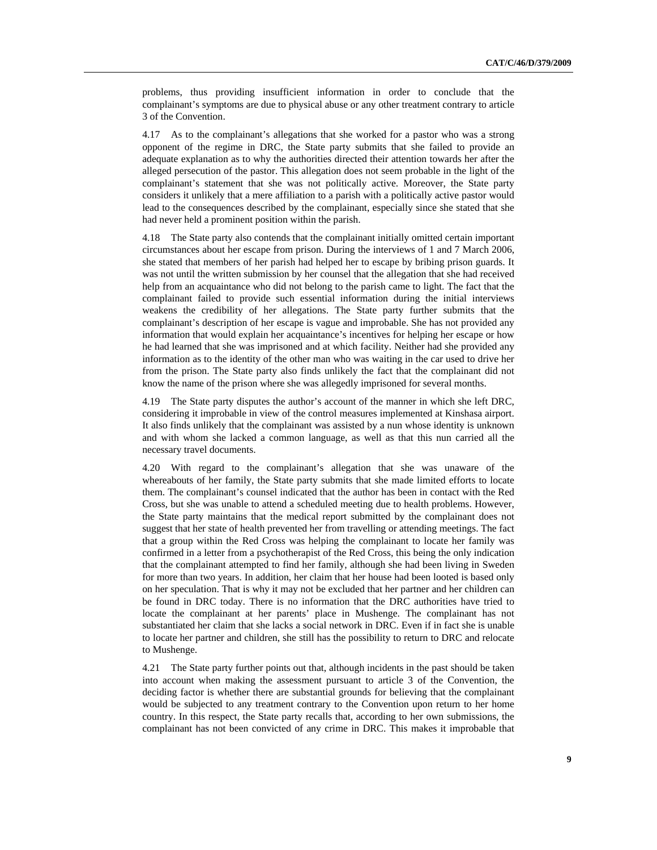problems, thus providing insufficient information in order to conclude that the complainant's symptoms are due to physical abuse or any other treatment contrary to article 3 of the Convention.

4.17 As to the complainant's allegations that she worked for a pastor who was a strong opponent of the regime in DRC, the State party submits that she failed to provide an adequate explanation as to why the authorities directed their attention towards her after the alleged persecution of the pastor. This allegation does not seem probable in the light of the complainant's statement that she was not politically active. Moreover, the State party considers it unlikely that a mere affiliation to a parish with a politically active pastor would lead to the consequences described by the complainant, especially since she stated that she had never held a prominent position within the parish.

4.18 The State party also contends that the complainant initially omitted certain important circumstances about her escape from prison. During the interviews of 1 and 7 March 2006, she stated that members of her parish had helped her to escape by bribing prison guards. It was not until the written submission by her counsel that the allegation that she had received help from an acquaintance who did not belong to the parish came to light. The fact that the complainant failed to provide such essential information during the initial interviews weakens the credibility of her allegations. The State party further submits that the complainant's description of her escape is vague and improbable. She has not provided any information that would explain her acquaintance's incentives for helping her escape or how he had learned that she was imprisoned and at which facility. Neither had she provided any information as to the identity of the other man who was waiting in the car used to drive her from the prison. The State party also finds unlikely the fact that the complainant did not know the name of the prison where she was allegedly imprisoned for several months.

4.19 The State party disputes the author's account of the manner in which she left DRC, considering it improbable in view of the control measures implemented at Kinshasa airport. It also finds unlikely that the complainant was assisted by a nun whose identity is unknown and with whom she lacked a common language, as well as that this nun carried all the necessary travel documents.

4.20 With regard to the complainant's allegation that she was unaware of the whereabouts of her family, the State party submits that she made limited efforts to locate them. The complainant's counsel indicated that the author has been in contact with the Red Cross, but she was unable to attend a scheduled meeting due to health problems. However, the State party maintains that the medical report submitted by the complainant does not suggest that her state of health prevented her from travelling or attending meetings. The fact that a group within the Red Cross was helping the complainant to locate her family was confirmed in a letter from a psychotherapist of the Red Cross, this being the only indication that the complainant attempted to find her family, although she had been living in Sweden for more than two years. In addition, her claim that her house had been looted is based only on her speculation. That is why it may not be excluded that her partner and her children can be found in DRC today. There is no information that the DRC authorities have tried to locate the complainant at her parents' place in Mushenge. The complainant has not substantiated her claim that she lacks a social network in DRC. Even if in fact she is unable to locate her partner and children, she still has the possibility to return to DRC and relocate to Mushenge.

4.21 The State party further points out that, although incidents in the past should be taken into account when making the assessment pursuant to article 3 of the Convention, the deciding factor is whether there are substantial grounds for believing that the complainant would be subjected to any treatment contrary to the Convention upon return to her home country. In this respect, the State party recalls that, according to her own submissions, the complainant has not been convicted of any crime in DRC. This makes it improbable that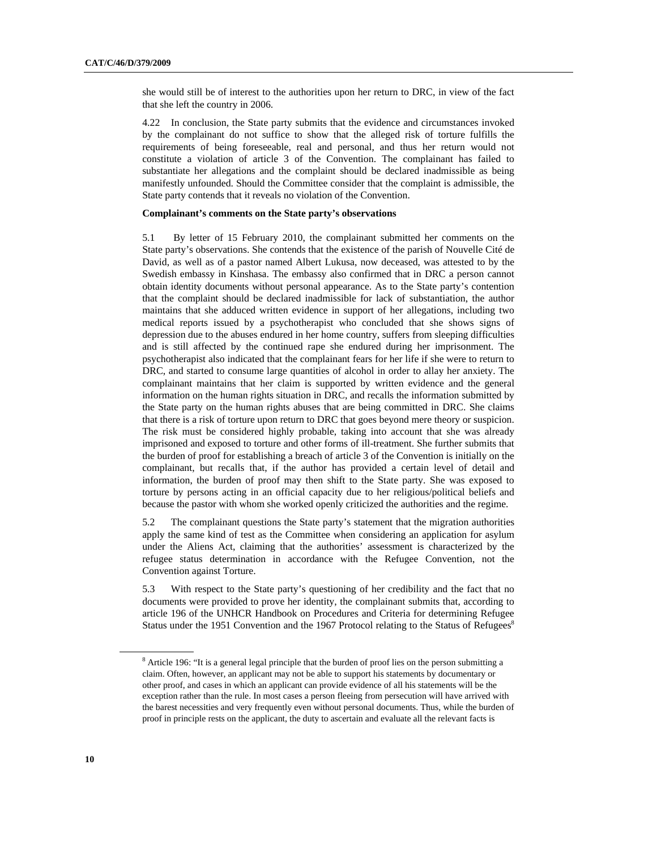she would still be of interest to the authorities upon her return to DRC, in view of the fact that she left the country in 2006.

4.22 In conclusion, the State party submits that the evidence and circumstances invoked by the complainant do not suffice to show that the alleged risk of torture fulfills the requirements of being foreseeable, real and personal, and thus her return would not constitute a violation of article 3 of the Convention. The complainant has failed to substantiate her allegations and the complaint should be declared inadmissible as being manifestly unfounded. Should the Committee consider that the complaint is admissible, the State party contends that it reveals no violation of the Convention.

#### **Complainant's comments on the State party's observations**

5.1 By letter of 15 February 2010, the complainant submitted her comments on the State party's observations. She contends that the existence of the parish of Nouvelle Cité de David, as well as of a pastor named Albert Lukusa, now deceased, was attested to by the Swedish embassy in Kinshasa. The embassy also confirmed that in DRC a person cannot obtain identity documents without personal appearance. As to the State party's contention that the complaint should be declared inadmissible for lack of substantiation, the author maintains that she adduced written evidence in support of her allegations, including two medical reports issued by a psychotherapist who concluded that she shows signs of depression due to the abuses endured in her home country, suffers from sleeping difficulties and is still affected by the continued rape she endured during her imprisonment. The psychotherapist also indicated that the complainant fears for her life if she were to return to DRC, and started to consume large quantities of alcohol in order to allay her anxiety. The complainant maintains that her claim is supported by written evidence and the general information on the human rights situation in DRC, and recalls the information submitted by the State party on the human rights abuses that are being committed in DRC. She claims that there is a risk of torture upon return to DRC that goes beyond mere theory or suspicion. The risk must be considered highly probable, taking into account that she was already imprisoned and exposed to torture and other forms of ill-treatment. She further submits that the burden of proof for establishing a breach of article 3 of the Convention is initially on the complainant, but recalls that, if the author has provided a certain level of detail and information, the burden of proof may then shift to the State party. She was exposed to torture by persons acting in an official capacity due to her religious/political beliefs and because the pastor with whom she worked openly criticized the authorities and the regime.

5.2 The complainant questions the State party's statement that the migration authorities apply the same kind of test as the Committee when considering an application for asylum under the Aliens Act, claiming that the authorities' assessment is characterized by the refugee status determination in accordance with the Refugee Convention, not the Convention against Torture.

5.3 With respect to the State party's questioning of her credibility and the fact that no documents were provided to prove her identity, the complainant submits that, according to article 196 of the UNHCR Handbook on Procedures and Criteria for determining Refugee Status under the 1951 Convention and the 1967 Protocol relating to the Status of Refugees<sup>8</sup>

<sup>8</sup> <sup>8</sup> Article 196: "It is a general legal principle that the burden of proof lies on the person submitting a claim. Often, however, an applicant may not be able to support his statements by documentary or other proof, and cases in which an applicant can provide evidence of all his statements will be the exception rather than the rule. In most cases a person fleeing from persecution will have arrived with the barest necessities and very frequently even without personal documents. Thus, while the burden of proof in principle rests on the applicant, the duty to ascertain and evaluate all the relevant facts is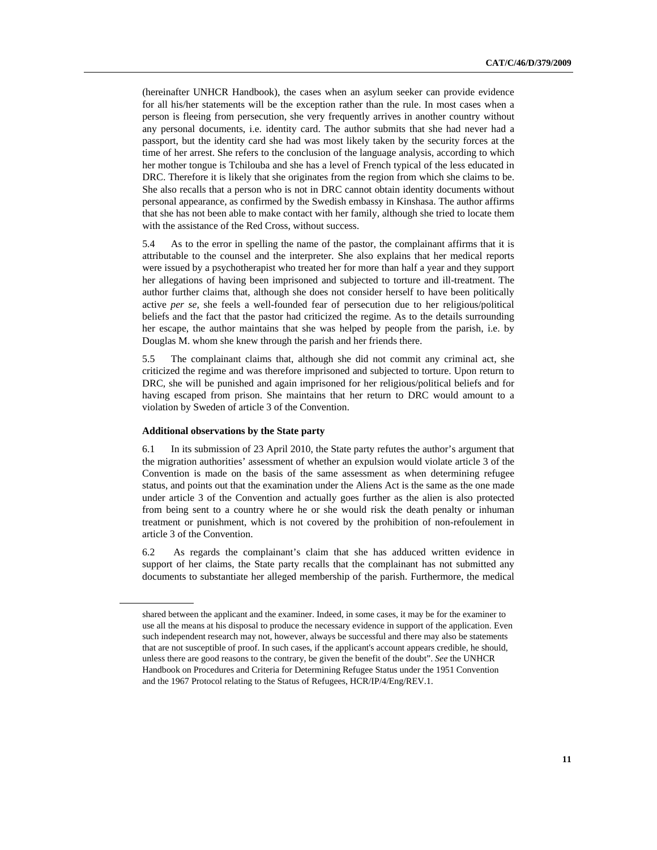(hereinafter UNHCR Handbook), the cases when an asylum seeker can provide evidence for all his/her statements will be the exception rather than the rule. In most cases when a person is fleeing from persecution, she very frequently arrives in another country without any personal documents, i.e. identity card. The author submits that she had never had a passport, but the identity card she had was most likely taken by the security forces at the time of her arrest. She refers to the conclusion of the language analysis, according to which her mother tongue is Tchilouba and she has a level of French typical of the less educated in DRC. Therefore it is likely that she originates from the region from which she claims to be. She also recalls that a person who is not in DRC cannot obtain identity documents without personal appearance, as confirmed by the Swedish embassy in Kinshasa. The author affirms that she has not been able to make contact with her family, although she tried to locate them with the assistance of the Red Cross, without success.

5.4 As to the error in spelling the name of the pastor, the complainant affirms that it is attributable to the counsel and the interpreter. She also explains that her medical reports were issued by a psychotherapist who treated her for more than half a year and they support her allegations of having been imprisoned and subjected to torture and ill-treatment. The author further claims that, although she does not consider herself to have been politically active *per se*, she feels a well-founded fear of persecution due to her religious/political beliefs and the fact that the pastor had criticized the regime. As to the details surrounding her escape, the author maintains that she was helped by people from the parish, i.e. by Douglas M. whom she knew through the parish and her friends there.

5.5 The complainant claims that, although she did not commit any criminal act, she criticized the regime and was therefore imprisoned and subjected to torture. Upon return to DRC, she will be punished and again imprisoned for her religious/political beliefs and for having escaped from prison. She maintains that her return to DRC would amount to a violation by Sweden of article 3 of the Convention.

#### **Additional observations by the State party**

6.1 In its submission of 23 April 2010, the State party refutes the author's argument that the migration authorities' assessment of whether an expulsion would violate article 3 of the Convention is made on the basis of the same assessment as when determining refugee status, and points out that the examination under the Aliens Act is the same as the one made under article 3 of the Convention and actually goes further as the alien is also protected from being sent to a country where he or she would risk the death penalty or inhuman treatment or punishment, which is not covered by the prohibition of non-refoulement in article 3 of the Convention.

6.2 As regards the complainant's claim that she has adduced written evidence in support of her claims, the State party recalls that the complainant has not submitted any documents to substantiate her alleged membership of the parish. Furthermore, the medical

shared between the applicant and the examiner. Indeed, in some cases, it may be for the examiner to use all the means at his disposal to produce the necessary evidence in support of the application. Even such independent research may not, however, always be successful and there may also be statements that are not susceptible of proof. In such cases, if the applicant's account appears credible, he should, unless there are good reasons to the contrary, be given the benefit of the doubt". *See* the UNHCR Handbook on Procedures and Criteria for Determining Refugee Status under the 1951 Convention and the 1967 Protocol relating to the Status of Refugees, HCR/IP/4/Eng/REV.1.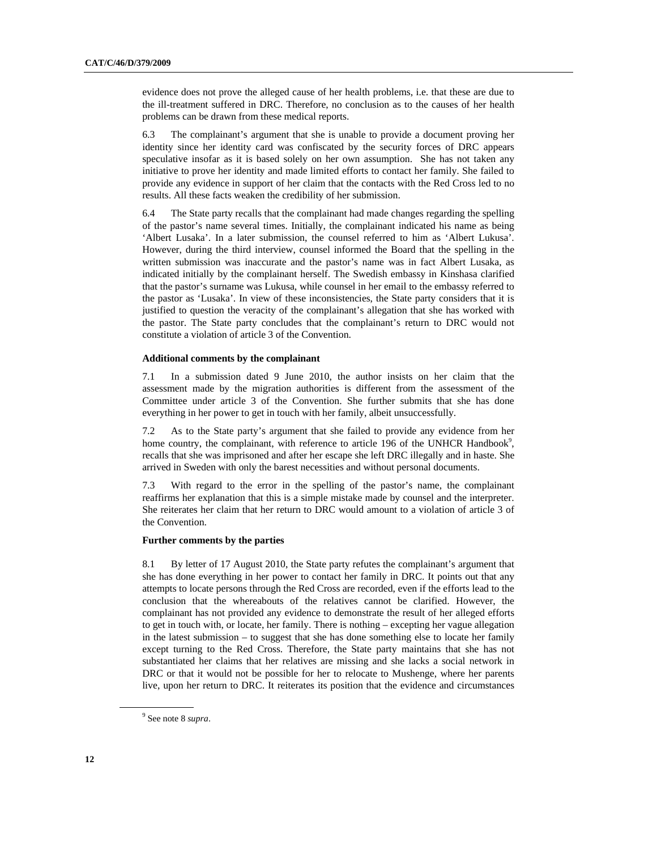evidence does not prove the alleged cause of her health problems, i.e. that these are due to the ill-treatment suffered in DRC. Therefore, no conclusion as to the causes of her health problems can be drawn from these medical reports.

6.3 The complainant's argument that she is unable to provide a document proving her identity since her identity card was confiscated by the security forces of DRC appears speculative insofar as it is based solely on her own assumption. She has not taken any initiative to prove her identity and made limited efforts to contact her family. She failed to provide any evidence in support of her claim that the contacts with the Red Cross led to no results. All these facts weaken the credibility of her submission.

6.4 The State party recalls that the complainant had made changes regarding the spelling of the pastor's name several times. Initially, the complainant indicated his name as being 'Albert Lusaka'. In a later submission, the counsel referred to him as 'Albert Lukusa'. However, during the third interview, counsel informed the Board that the spelling in the written submission was inaccurate and the pastor's name was in fact Albert Lusaka, as indicated initially by the complainant herself. The Swedish embassy in Kinshasa clarified that the pastor's surname was Lukusa, while counsel in her email to the embassy referred to the pastor as 'Lusaka'. In view of these inconsistencies, the State party considers that it is justified to question the veracity of the complainant's allegation that she has worked with the pastor. The State party concludes that the complainant's return to DRC would not constitute a violation of article 3 of the Convention.

#### **Additional comments by the complainant**

7.1 In a submission dated 9 June 2010, the author insists on her claim that the assessment made by the migration authorities is different from the assessment of the Committee under article 3 of the Convention. She further submits that she has done everything in her power to get in touch with her family, albeit unsuccessfully.

7.2 As to the State party's argument that she failed to provide any evidence from her home country, the complainant, with reference to article 196 of the UNHCR Handbook<sup>9</sup>, recalls that she was imprisoned and after her escape she left DRC illegally and in haste. She arrived in Sweden with only the barest necessities and without personal documents.

7.3 With regard to the error in the spelling of the pastor's name, the complainant reaffirms her explanation that this is a simple mistake made by counsel and the interpreter. She reiterates her claim that her return to DRC would amount to a violation of article 3 of the Convention.

#### **Further comments by the parties**

8.1 By letter of 17 August 2010, the State party refutes the complainant's argument that she has done everything in her power to contact her family in DRC. It points out that any attempts to locate persons through the Red Cross are recorded, even if the efforts lead to the conclusion that the whereabouts of the relatives cannot be clarified. However, the complainant has not provided any evidence to demonstrate the result of her alleged efforts to get in touch with, or locate, her family. There is nothing – excepting her vague allegation in the latest submission – to suggest that she has done something else to locate her family except turning to the Red Cross. Therefore, the State party maintains that she has not substantiated her claims that her relatives are missing and she lacks a social network in DRC or that it would not be possible for her to relocate to Mushenge, where her parents live, upon her return to DRC. It reiterates its position that the evidence and circumstances

<sup>9</sup> See note 8 *supra*.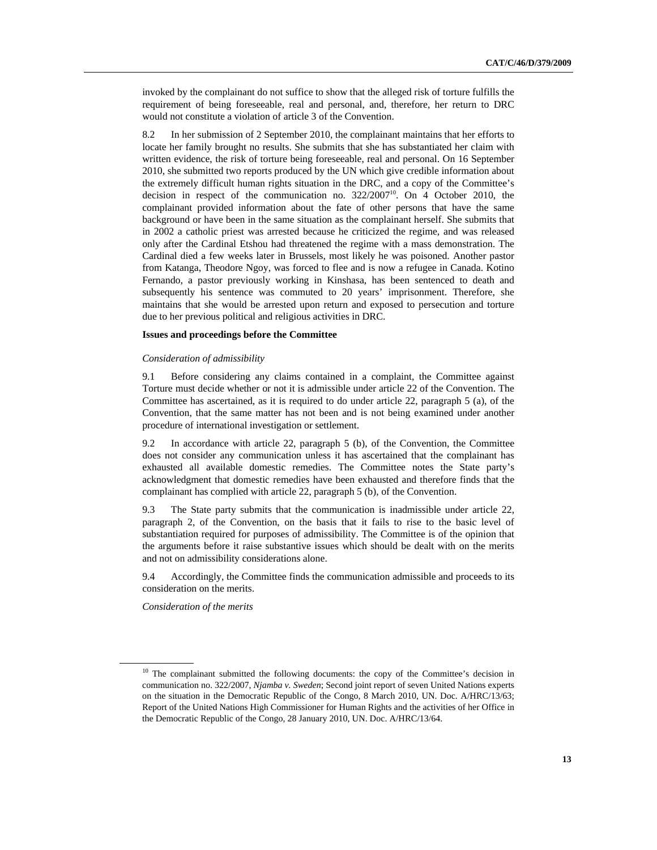invoked by the complainant do not suffice to show that the alleged risk of torture fulfills the requirement of being foreseeable, real and personal, and, therefore, her return to DRC would not constitute a violation of article 3 of the Convention.

8.2 In her submission of 2 September 2010, the complainant maintains that her efforts to locate her family brought no results. She submits that she has substantiated her claim with written evidence, the risk of torture being foreseeable, real and personal. On 16 September 2010, she submitted two reports produced by the UN which give credible information about the extremely difficult human rights situation in the DRC, and a copy of the Committee's decision in respect of the communication no.  $322/2007^{10}$ . On 4 October 2010, the complainant provided information about the fate of other persons that have the same background or have been in the same situation as the complainant herself. She submits that in 2002 a catholic priest was arrested because he criticized the regime, and was released only after the Cardinal Etshou had threatened the regime with a mass demonstration. The Cardinal died a few weeks later in Brussels, most likely he was poisoned. Another pastor from Katanga, Theodore Ngoy, was forced to flee and is now a refugee in Canada. Kotino Fernando, a pastor previously working in Kinshasa, has been sentenced to death and subsequently his sentence was commuted to 20 years' imprisonment. Therefore, she maintains that she would be arrested upon return and exposed to persecution and torture due to her previous political and religious activities in DRC.

#### **Issues and proceedings before the Committee**

#### *Consideration of admissibility*

9.1 Before considering any claims contained in a complaint, the Committee against Torture must decide whether or not it is admissible under article 22 of the Convention. The Committee has ascertained, as it is required to do under article 22, paragraph 5 (a), of the Convention, that the same matter has not been and is not being examined under another procedure of international investigation or settlement.

9.2 In accordance with article 22, paragraph 5 (b), of the Convention, the Committee does not consider any communication unless it has ascertained that the complainant has exhausted all available domestic remedies. The Committee notes the State party's acknowledgment that domestic remedies have been exhausted and therefore finds that the complainant has complied with article 22, paragraph 5 (b), of the Convention.

9.3 The State party submits that the communication is inadmissible under article 22, paragraph 2, of the Convention, on the basis that it fails to rise to the basic level of substantiation required for purposes of admissibility. The Committee is of the opinion that the arguments before it raise substantive issues which should be dealt with on the merits and not on admissibility considerations alone.

9.4 Accordingly, the Committee finds the communication admissible and proceeds to its consideration on the merits.

 *Consideration of the merits* 

<sup>&</sup>lt;sup>10</sup> The complainant submitted the following documents: the copy of the Committee's decision in communication no. 322/2007, *Njamba v. Sweden*; Second joint report of seven United Nations experts on the situation in the Democratic Republic of the Congo, 8 March 2010, UN. Doc. A/HRC/13/63; Report of the United Nations High Commissioner for Human Rights and the activities of her Office in the Democratic Republic of the Congo, 28 January 2010, UN. Doc. A/HRC/13/64.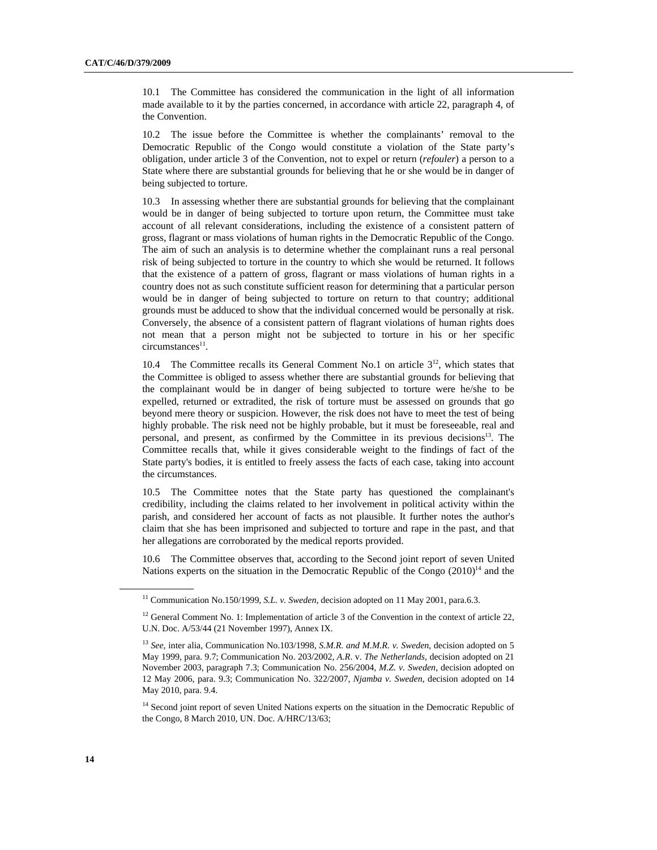10.1 The Committee has considered the communication in the light of all information made available to it by the parties concerned, in accordance with article 22, paragraph 4, of the Convention.

10.2 The issue before the Committee is whether the complainants' removal to the Democratic Republic of the Congo would constitute a violation of the State party's obligation, under article 3 of the Convention, not to expel or return (*refouler*) a person to a State where there are substantial grounds for believing that he or she would be in danger of being subjected to torture.

10.3 In assessing whether there are substantial grounds for believing that the complainant would be in danger of being subjected to torture upon return, the Committee must take account of all relevant considerations, including the existence of a consistent pattern of gross, flagrant or mass violations of human rights in the Democratic Republic of the Congo. The aim of such an analysis is to determine whether the complainant runs a real personal risk of being subjected to torture in the country to which she would be returned. It follows that the existence of a pattern of gross, flagrant or mass violations of human rights in a country does not as such constitute sufficient reason for determining that a particular person would be in danger of being subjected to torture on return to that country; additional grounds must be adduced to show that the individual concerned would be personally at risk. Conversely, the absence of a consistent pattern of flagrant violations of human rights does not mean that a person might not be subjected to torture in his or her specific  $circumstances<sup>11</sup>$ .

10.4 The Committee recalls its General Comment No.1 on article  $3<sup>12</sup>$ , which states that the Committee is obliged to assess whether there are substantial grounds for believing that the complainant would be in danger of being subjected to torture were he/she to be expelled, returned or extradited, the risk of torture must be assessed on grounds that go beyond mere theory or suspicion. However, the risk does not have to meet the test of being highly probable. The risk need not be highly probable, but it must be foreseeable, real and personal, and present, as confirmed by the Committee in its previous decisions<sup>13</sup>. The Committee recalls that, while it gives considerable weight to the findings of fact of the State party's bodies, it is entitled to freely assess the facts of each case, taking into account the circumstances.

10.5 The Committee notes that the State party has questioned the complainant's credibility, including the claims related to her involvement in political activity within the parish, and considered her account of facts as not plausible. It further notes the author's claim that she has been imprisoned and subjected to torture and rape in the past, and that her allegations are corroborated by the medical reports provided.

10.6 The Committee observes that, according to the Second joint report of seven United Nations experts on the situation in the Democratic Republic of the Congo  $(2010)^{14}$  and the

<sup>&</sup>lt;sup>11</sup> Communication No.150/1999, *S.L. v. Sweden*, decision adopted on 11 May 2001, para.6.3.

 $12$  General Comment No. 1: Implementation of article 3 of the Convention in the context of article 22, U.N. Doc. A/53/44 (21 November 1997), Annex IX.

<sup>13</sup> *See*, inter alia, Communication No.103/1998, *S.M.R. and M.M.R. v. Sweden*, decision adopted on 5 May 1999, para. 9.7; Communication No. 203/2002, *A.R*. v. *The Netherlands*, decision adopted on 21 November 2003, paragraph 7.3; Communication No. 256/2004, *M.Z. v. Sweden*, decision adopted on 12 May 2006, para. 9.3; Communication No. 322/2007, *Njamba v. Sweden*, decision adopted on 14 May 2010, para. 9.4.

<sup>&</sup>lt;sup>14</sup> Second joint report of seven United Nations experts on the situation in the Democratic Republic of the Congo, 8 March 2010, UN. Doc. A/HRC/13/63;